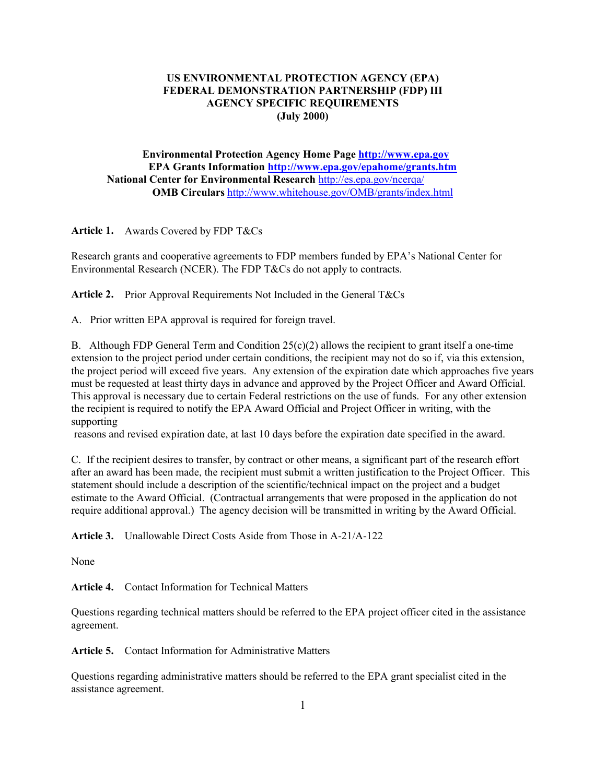# **US ENVIRONMENTAL PROTECTION AGENCY (EPA) FEDERAL DEMONSTRATION PARTNERSHIP (FDP) III AGENCY SPECIFIC REQUIREMENTS (July 2000)**

**Environmental Protection Agency Home Page http://www.epa.gov EPA Grants Information http://www.epa.gov/epahome/grants.htm National Center for Environmental Research** http://es.epa.gov/ncerqa/ **OMB Circulars** http://www.whitehouse.gov/OMB/grants/index.html

**Article 1.** Awards Covered by FDP T&Cs

Research grants and cooperative agreements to FDP members funded by EPA's National Center for Environmental Research (NCER). The FDP T&Cs do not apply to contracts.

**Article 2.** Prior Approval Requirements Not Included in the General T&Cs

A. Prior written EPA approval is required for foreign travel.

B. Although FDP General Term and Condition  $25(c)(2)$  allows the recipient to grant itself a one-time extension to the project period under certain conditions, the recipient may not do so if, via this extension, the project period will exceed five years. Any extension of the expiration date which approaches five years must be requested at least thirty days in advance and approved by the Project Officer and Award Official. This approval is necessary due to certain Federal restrictions on the use of funds. For any other extension the recipient is required to notify the EPA Award Official and Project Officer in writing, with the supporting

reasons and revised expiration date, at last 10 days before the expiration date specified in the award.

C. If the recipient desires to transfer, by contract or other means, a significant part of the research effort after an award has been made, the recipient must submit a written justification to the Project Officer. This statement should include a description of the scientific/technical impact on the project and a budget estimate to the Award Official. (Contractual arrangements that were proposed in the application do not require additional approval.) The agency decision will be transmitted in writing by the Award Official.

**Article 3.** Unallowable Direct Costs Aside from Those in A-21/A-122

None

**Article 4.** Contact Information for Technical Matters

Questions regarding technical matters should be referred to the EPA project officer cited in the assistance agreement.

**Article 5.** Contact Information for Administrative Matters

Questions regarding administrative matters should be referred to the EPA grant specialist cited in the assistance agreement.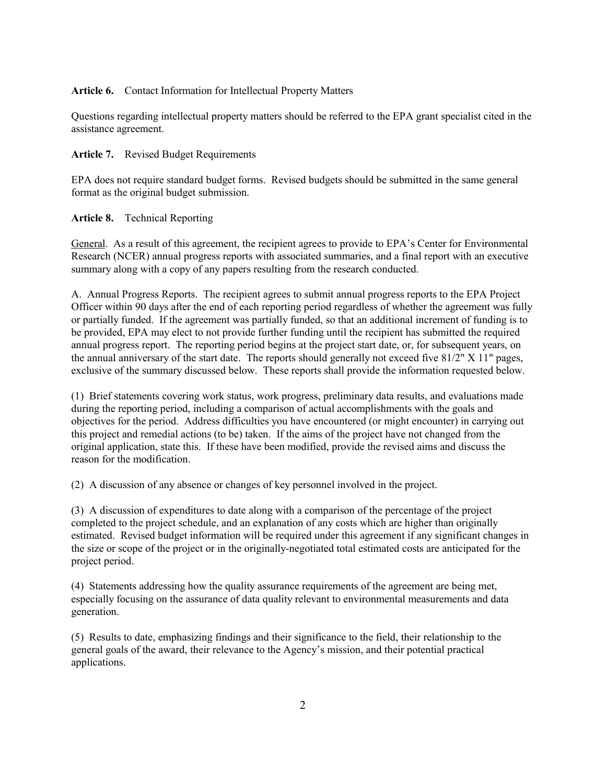### **Article 6.** Contact Information for Intellectual Property Matters

Questions regarding intellectual property matters should be referred to the EPA grant specialist cited in the assistance agreement.

#### **Article 7.** Revised Budget Requirements

EPA does not require standard budget forms. Revised budgets should be submitted in the same general format as the original budget submission.

### **Article 8.** Technical Reporting

General. As a result of this agreement, the recipient agrees to provide to EPA's Center for Environmental Research (NCER) annual progress reports with associated summaries, and a final report with an executive summary along with a copy of any papers resulting from the research conducted.

A. Annual Progress Reports. The recipient agrees to submit annual progress reports to the EPA Project Officer within 90 days after the end of each reporting period regardless of whether the agreement was fully or partially funded. If the agreement was partially funded, so that an additional increment of funding is to be provided, EPA may elect to not provide further funding until the recipient has submitted the required annual progress report. The reporting period begins at the project start date, or, for subsequent years, on the annual anniversary of the start date. The reports should generally not exceed five  $81/2$ " X  $11$ " pages, exclusive of the summary discussed below. These reports shall provide the information requested below.

(1) Brief statements covering work status, work progress, preliminary data results, and evaluations made during the reporting period, including a comparison of actual accomplishments with the goals and objectives for the period. Address difficulties you have encountered (or might encounter) in carrying out this project and remedial actions (to be) taken. If the aims of the project have not changed from the original application, state this. If these have been modified, provide the revised aims and discuss the reason for the modification.

(2) A discussion of any absence or changes of key personnel involved in the project.

(3) A discussion of expenditures to date along with a comparison of the percentage of the project completed to the project schedule, and an explanation of any costs which are higher than originally estimated. Revised budget information will be required under this agreement if any significant changes in the size or scope of the project or in the originally-negotiated total estimated costs are anticipated for the project period.

(4) Statements addressing how the quality assurance requirements of the agreement are being met, especially focusing on the assurance of data quality relevant to environmental measurements and data generation.

(5) Results to date, emphasizing findings and their significance to the field, their relationship to the general goals of the award, their relevance to the Agency's mission, and their potential practical applications.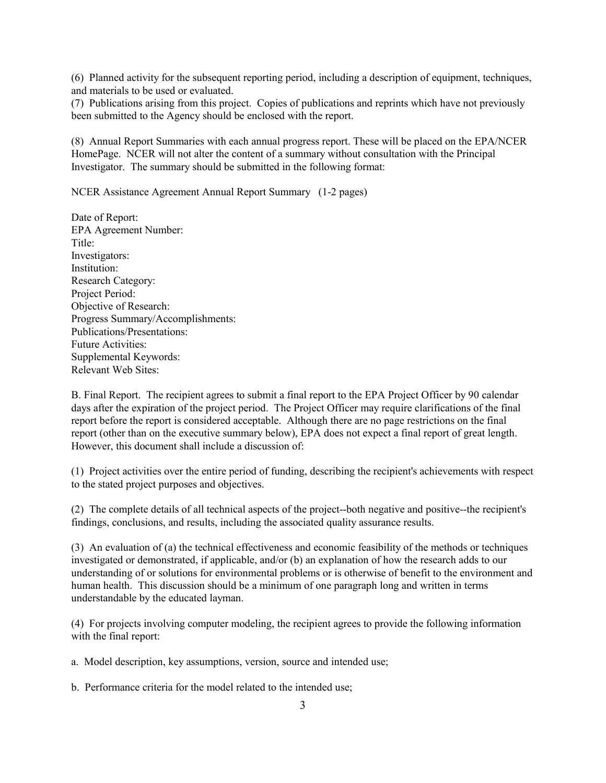(6) Planned activity for the subsequent reporting period, including a description of equipment, techniques, and materials to be used or evaluated.

(7) Publications arising from this project. Copies of publications and reprints which have not previously been submitted to the Agency should be enclosed with the report.

(8) Annual Report Summaries with each annual progress report. These will be placed on the EPA/NCER HomePage. NCER will not alter the content of a summary without consultation with the Principal Investigator. The summary should be submitted in the following format:

NCER Assistance Agreement Annual Report Summary (1-2 pages)

Date of Report: EPA Agreement Number: Title: Investigators: Institution: Research Category: Project Period: Objective of Research: Progress Summary/Accomplishments: Publications/Presentations: Future Activities: Supplemental Keywords: Relevant Web Sites:

B. Final Report. The recipient agrees to submit a final report to the EPA Project Officer by 90 calendar days after the expiration of the project period. The Project Officer may require clarifications of the final report before the report is considered acceptable. Although there are no page restrictions on the final report (other than on the executive summary below), EPA does not expect a final report of great length. However, this document shall include a discussion of:

(1) Project activities over the entire period of funding, describing the recipient's achievements with respect to the stated project purposes and objectives.

(2) The complete details of all technical aspects of the project--both negative and positive--the recipient's findings, conclusions, and results, including the associated quality assurance results.

(3) An evaluation of (a) the technical effectiveness and economic feasibility of the methods or techniques investigated or demonstrated, if applicable, and/or (b) an explanation of how the research adds to our understanding of or solutions for environmental problems or is otherwise of benefit to the environment and human health. This discussion should be a minimum of one paragraph long and written in terms understandable by the educated layman.

(4) For projects involving computer modeling, the recipient agrees to provide the following information with the final report:

a. Model description, key assumptions, version, source and intended use;

b. Performance criteria for the model related to the intended use;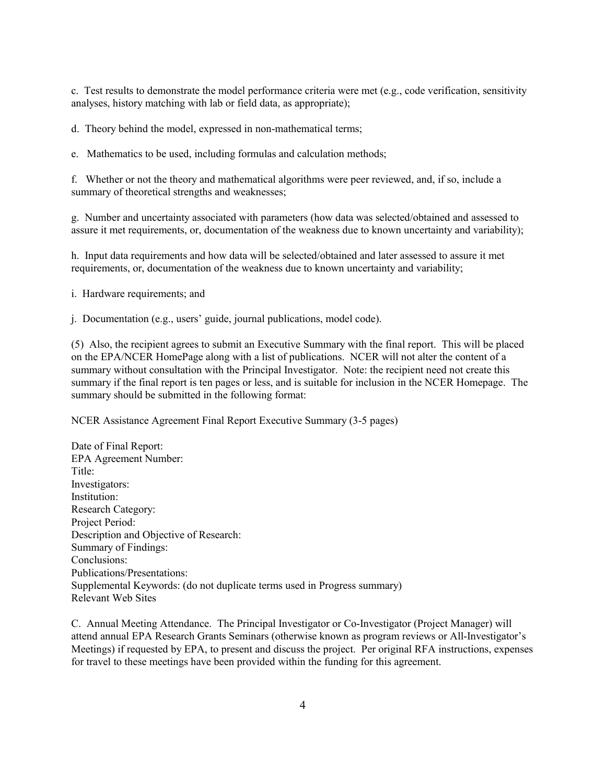c. Test results to demonstrate the model performance criteria were met  $(e.g., code verification, sensitivity)$ analyses, history matching with lab or field data, as appropriate);

d. Theory behind the model, expressed in non-mathematical terms;

e. Mathematics to be used, including formulas and calculation methods;

f. Whether or not the theory and mathematical algorithms were peer reviewed, and, if so, include a summary of theoretical strengths and weaknesses;

g. Number and uncertainty associated with parameters (how data was selected/obtained and assessed to assure it met requirements, or, documentation of the weakness due to known uncertainty and variability);

h. Input data requirements and how data will be selected/obtained and later assessed to assure it met requirements, or, documentation of the weakness due to known uncertainty and variability;

i. Hardware requirements; and

j. Documentation (e.g., users' guide, journal publications, model code).

(5) Also, the recipient agrees to submit an Executive Summary with the final report. This will be placed on the EPA/NCER HomePage along with a list of publications. NCER will not alter the content of a summary without consultation with the Principal Investigator. Note: the recipient need not create this summary if the final report is ten pages or less, and is suitable for inclusion in the NCER Homepage. The summary should be submitted in the following format:

NCER Assistance Agreement Final Report Executive Summary (3-5 pages)

Date of Final Report: EPA Agreement Number: Title: Investigators: Institution: Research Category: Project Period: Description and Objective of Research: Summary of Findings: Conclusions: Publications/Presentations: Supplemental Keywords: (do not duplicate terms used in Progress summary) Relevant Web Sites

C. Annual Meeting Attendance. The Principal Investigator or Co-Investigator (Project Manager) will attend annual EPA Research Grants Seminars (otherwise known as program reviews or All-Investigator's Meetings) if requested by EPA, to present and discuss the project. Per original RFA instructions, expenses for travel to these meetings have been provided within the funding for this agreement.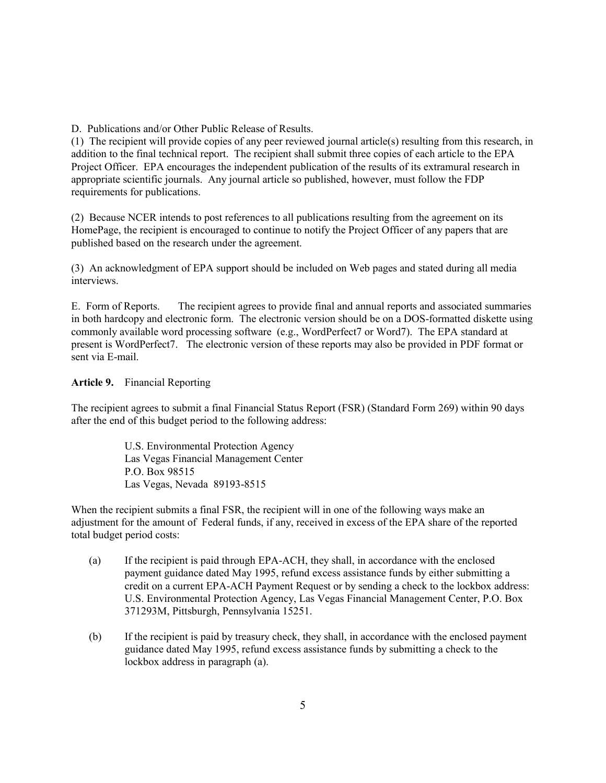D. Publications and/or Other Public Release of Results.

(1) The recipient will provide copies of any peer reviewed journal article(s) resulting from this research, in addition to the final technical report. The recipient shall submit three copies of each article to the EPA Project Officer. EPA encourages the independent publication of the results of its extramural research in appropriate scientific journals. Any journal article so published, however, must follow the FDP requirements for publications.

(2) Because NCER intends to post references to all publications resulting from the agreement on its HomePage, the recipient is encouraged to continue to notify the Project Officer of any papers that are published based on the research under the agreement.

(3) An acknowledgment of EPA support should be included on Web pages and stated during all media interviews.

E. Form of Reports. The recipient agrees to provide final and annual reports and associated summaries in both hardcopy and electronic form. The electronic version should be on a DOS-formatted diskette using commonly available word processing software (e.g., WordPerfect7 or Word7). The EPA standard at present is WordPerfect7. The electronic version of these reports may also be provided in PDF format or sent via E-mail.

## **Article 9.** Financial Reporting

The recipient agrees to submit a final Financial Status Report (FSR) (Standard Form 269) within 90 days after the end of this budget period to the following address:

> U.S. Environmental Protection Agency Las Vegas Financial Management Center P.O. Box 98515 Las Vegas, Nevada 89193-8515

When the recipient submits a final FSR, the recipient will in one of the following ways make an adjustment for the amount of Federal funds, if any, received in excess of the EPA share of the reported total budget period costs:

- (a) If the recipient is paid through EPA-ACH, they shall, in accordance with the enclosed payment guidance dated May 1995, refund excess assistance funds by either submitting a credit on a current EPA-ACH Payment Request or by sending a check to the lockbox address: U.S. Environmental Protection Agency, Las Vegas Financial Management Center, P.O. Box 371293M, Pittsburgh, Pennsylvania 15251.
- (b) If the recipient is paid by treasury check, they shall, in accordance with the enclosed payment guidance dated May 1995, refund excess assistance funds by submitting a check to the lockbox address in paragraph (a).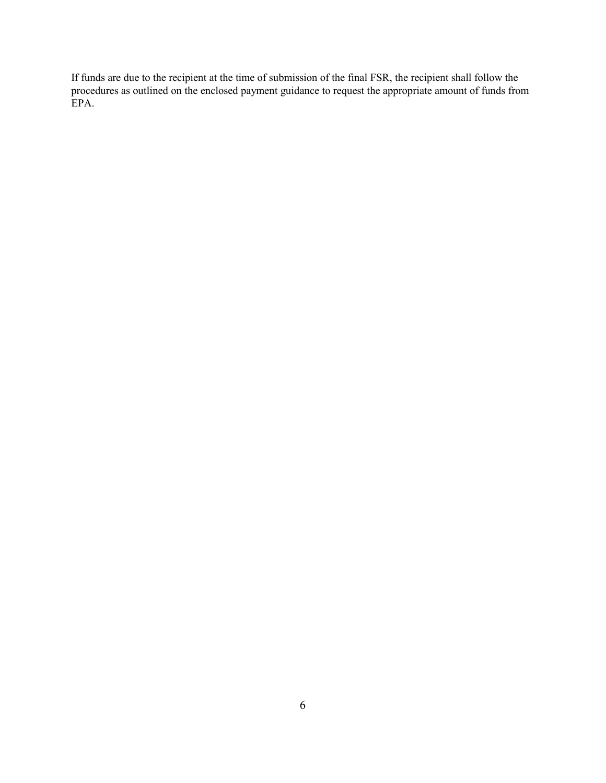If funds are due to the recipient at the time of submission of the final FSR, the recipient shall follow the procedures as outlined on the enclosed payment guidance to request the appropriate amount of funds from EPA.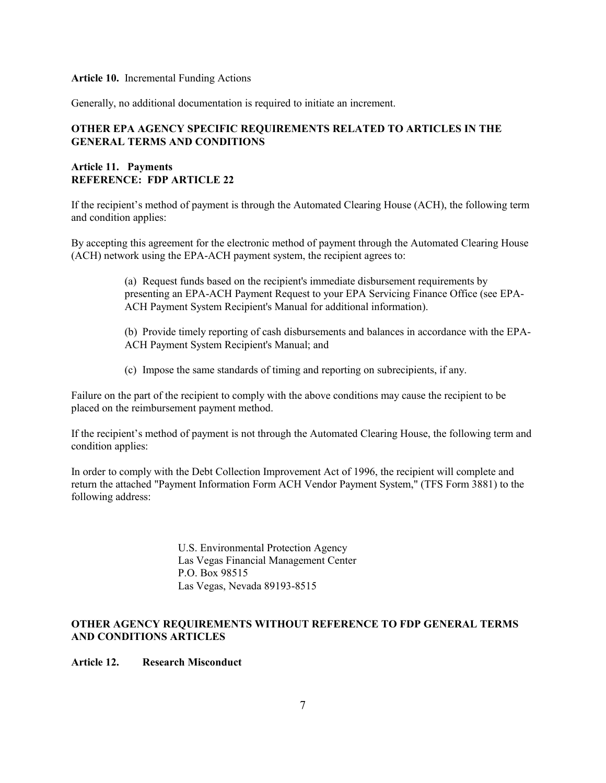#### **Article 10.** Incremental Funding Actions

Generally, no additional documentation is required to initiate an increment.

# **OTHER EPA AGENCY SPECIFIC REQUIREMENTS RELATED TO ARTICLES IN THE GENERAL TERMS AND CONDITIONS**

## **Article 11. Payments REFERENCE: FDP ARTICLE 22**

If the recipient's method of payment is through the Automated Clearing House (ACH), the following term and condition applies:

By accepting this agreement for the electronic method of payment through the Automated Clearing House (ACH) network using the EPA-ACH payment system, the recipient agrees to:

> (a) Request funds based on the recipient's immediate disbursement requirements by presenting an EPA-ACH Payment Request to your EPA Servicing Finance Office (see EPA-ACH Payment System Recipient's Manual for additional information).

(b) Provide timely reporting of cash disbursements and balances in accordance with the EPA-ACH Payment System Recipient's Manual; and

(c) Impose the same standards of timing and reporting on subrecipients, if any.

Failure on the part of the recipient to comply with the above conditions may cause the recipient to be placed on the reimbursement payment method.

If the recipient's method of payment is not through the Automated Clearing House, the following term and condition applies:

In order to comply with the Debt Collection Improvement Act of 1996, the recipient will complete and return the attached "Payment Information Form ACH Vendor Payment System," (TFS Form 3881) to the following address:

> U.S. Environmental Protection Agency Las Vegas Financial Management Center P.O. Box 98515 Las Vegas, Nevada 89193-8515

# **OTHER AGENCY REQUIREMENTS WITHOUT REFERENCE TO FDP GENERAL TERMS AND CONDITIONS ARTICLES**

### **Article 12. Research Misconduct**